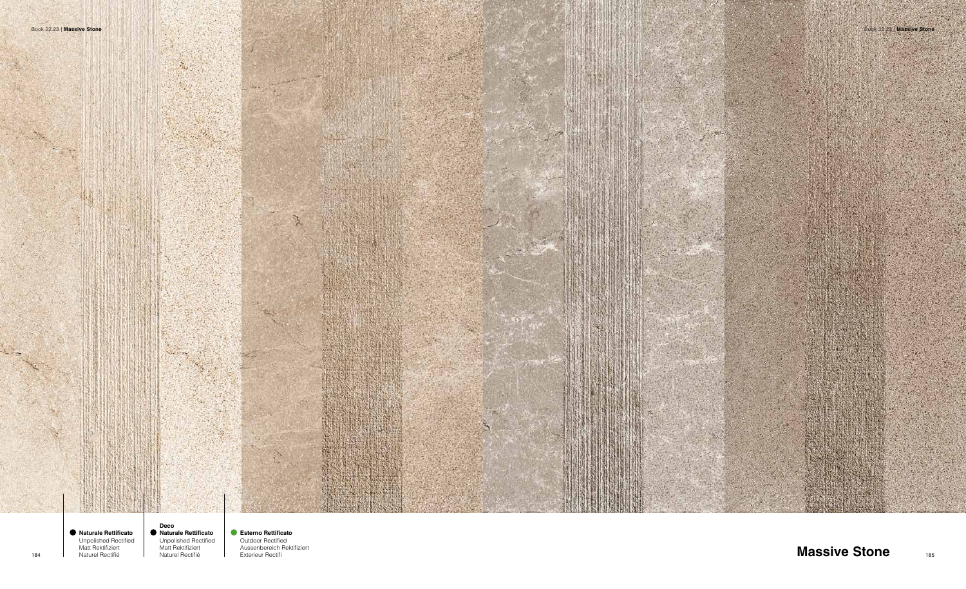



**Deco Naturale Rettificato** Unpolished Rectified Matt Rektifiziert

Naturel Rectifié

**Esterno Rettificato**  Outdoor Rectified Aussenbereich Rektifiziert Exterieur Rectifi

**Naturale Rettificato** Unpolished Rectified Matt Rektifiziert Naturel Rectifié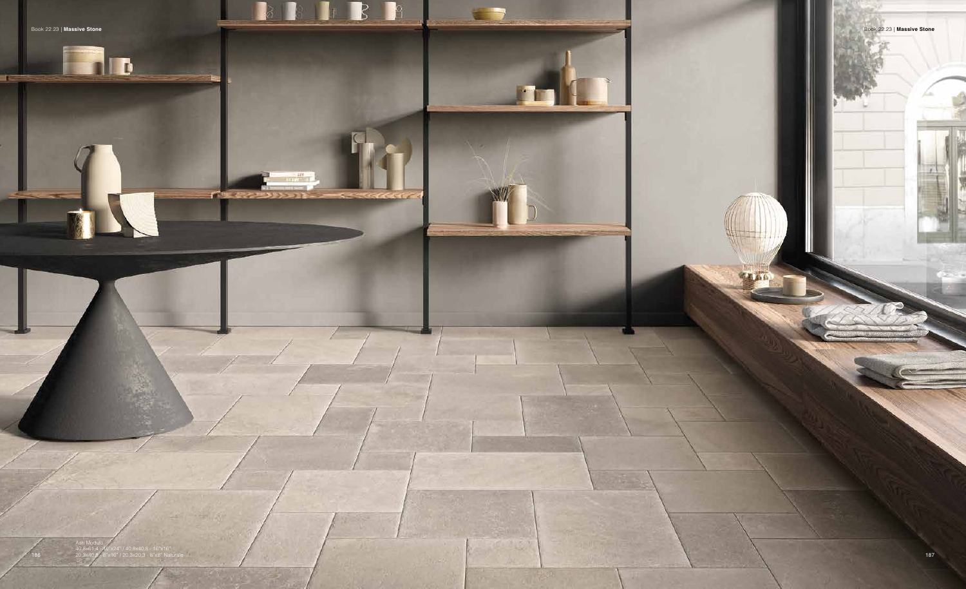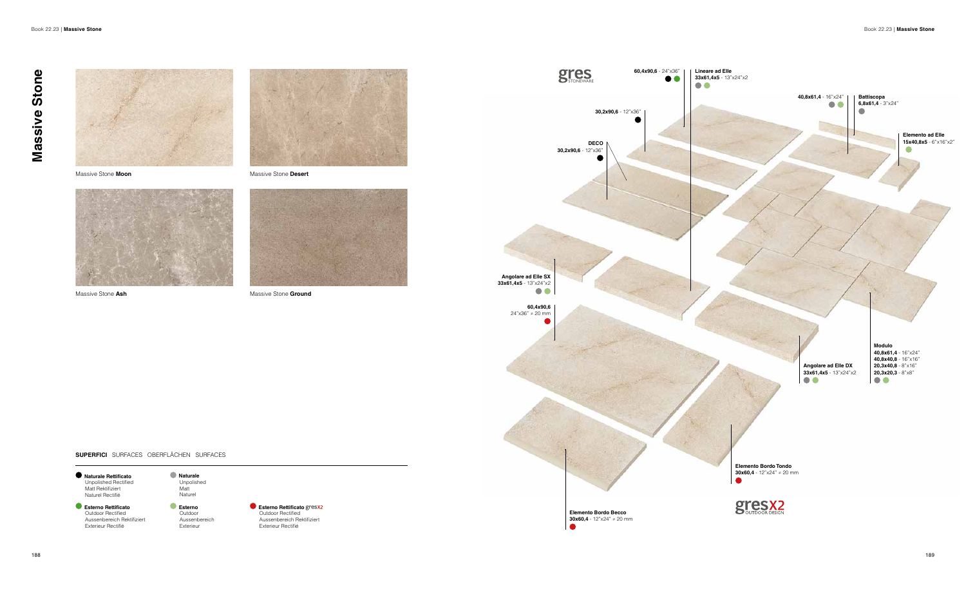



Massive Stone **Moon** Massive Stone **Desert**





Massive Stone Ash **Massive Stone Ash** Massive Stone **Ground** 

## **SUPERFICI** SURFACES OBERFLÄCHEN SURFACES

**Elemento Bordo Becco 30x60,4** - 12"x24" ≠ 20 mm  $\bullet$ 



**Esterno Rettificato**  Outdoor Rectified Aussenbereich Rektifiziert Exterieur Rectifié



**30,2x90,6** - 12"x36"

**DECO**

**30,2x90,6** - 12"x36"

**STONEWARE** 





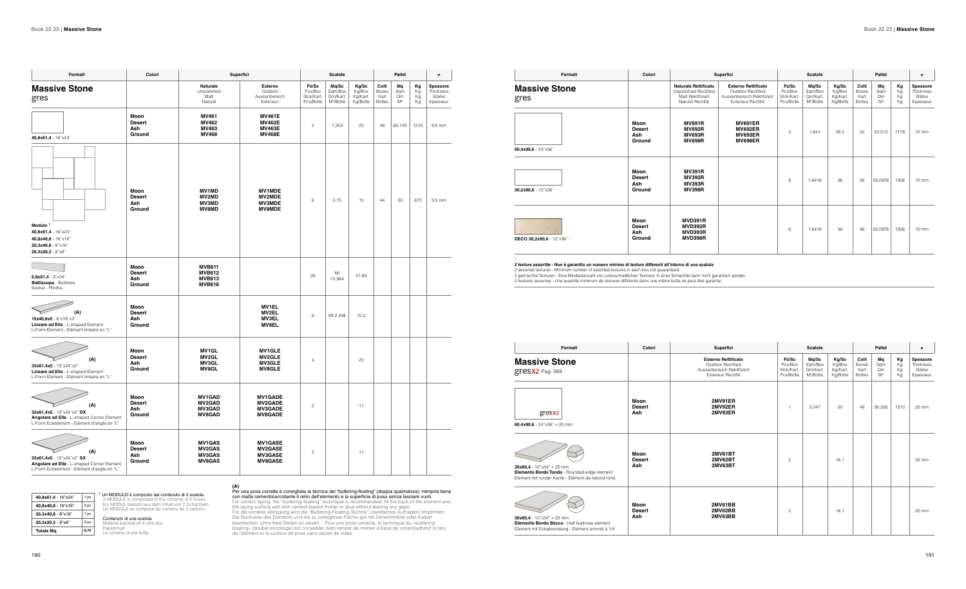| Colori                       | Superfici                                                                                           | Scatole                                     |                                                       |                                         | Pallet                                  |                          |                      | $\neq$                                       |  |
|------------------------------|-----------------------------------------------------------------------------------------------------|---------------------------------------------|-------------------------------------------------------|-----------------------------------------|-----------------------------------------|--------------------------|----------------------|----------------------------------------------|--|
|                              | <b>Esterno Rettificato</b><br>Outdoor Rectified<br>Aussenbereich Rektifiziert<br>Exterieur Rectifié | Pz/Sc<br>Pcs/Box<br>Stck/Kart.<br>Pcs/Boîte | Mg/Sc<br>Sqm/Box<br>Qm/Kart.<br>M <sup>2</sup> /Boîte | Kg/Sc<br>Kg/Box<br>Kg/Kart.<br>Kg/Boîte | Colli<br>Boxes<br>Kart<br><b>Boîtes</b> | Mq<br>Sqm<br>Qm<br>$M^2$ | Kg<br>Kg<br>Kg<br>Kg | Spessore<br>Thickness<br>Stärke<br>Epaisseur |  |
| Moon<br><b>Desert</b><br>Ash | <b>2MV91ER</b><br>2MV92ER<br>2MV93ER                                                                | $\overline{1}$                              | 0,547                                                 | 25                                      | 48                                      | 26,256                   | 1210                 | 20 mm                                        |  |
| Moon<br><b>Desert</b><br>Ash | <b>2MV61BT</b><br><b>2MV62BT</b><br>2MV63BT                                                         | $\mathcal{P}$                               |                                                       | 16,1                                    |                                         |                          |                      | $20 \text{ mm}$                              |  |
| Moon<br><b>Desert</b><br>Ash | 2MV61BB<br>2MV62BB<br>2MV63BB                                                                       | $\overline{c}$                              |                                                       | 16.1                                    |                                         |                          |                      | 20 mm                                        |  |
|                              |                                                                                                     |                                             |                                                       |                                         |                                         |                          |                      |                                              |  |

## Contenuto di una scatola Material packed all in one box

Paketinhalt<br>Le contenu d'une boîte

(A)<br>
Per una posa corretta è consigliata la tecnica del "buttering-floating" (doppia spalmatura): riempire bene<br>
Per una posa corretta è consigliata la tecnica del "buttering-floating" (doppia spalmatura): riempire bene<br>
F

| Formati                                                                                                                      | Colori                                 |                                                                  | Superfici                                                            |                                             | Scatole                                               |                                         |                                         | Pallet                            |                      |                                              |
|------------------------------------------------------------------------------------------------------------------------------|----------------------------------------|------------------------------------------------------------------|----------------------------------------------------------------------|---------------------------------------------|-------------------------------------------------------|-----------------------------------------|-----------------------------------------|-----------------------------------|----------------------|----------------------------------------------|
| <b>Massive Stone</b><br>gres                                                                                                 |                                        | Naturale<br>Unpolished<br>Matt<br>Naturel                        | Esterno<br>Outdoor<br>Aussenbereich<br>Exterieur                     | Pz/Sc<br>Pcs/Box<br>Stck/Kart.<br>Pcs/Boîte | Mq/Sc<br>Sqm/Box<br>Qm/Kart.<br>M <sup>2</sup> /Boîte | Kg/Sc<br>Kg/Box<br>Kg/Kart.<br>Kg/Boîte | Colli<br>Boxes<br>Kart<br><b>Boîtes</b> | Mq<br>Sqm<br>Qm<br>M <sup>2</sup> | Кg<br>Кg<br>Кg<br>Кg | Spessore<br>Thickness<br>Stärke<br>Epaisseur |
| 40,8x61,4 - 16"x24"                                                                                                          | Moon<br><b>Desert</b><br>Ash<br>Ground | <b>MV461</b><br>MV462<br>MV463<br><b>MV468</b>                   | <b>MV461E</b><br><b>MV462E</b><br><b>MV463E</b><br><b>MV468E</b>     | 5                                           | 1,253                                                 | 25                                      | 48                                      | 60,144                            | 1210                 | 9,5 mm                                       |
| Modulo <sup>*</sup><br>40,8x61,4 - 16"x24"<br>40,8x40,8 - 16"x16"<br>$20,3x40,8 - 8" \times 16"$<br>20,3x20,3 - 8"x8"        | Moon<br><b>Desert</b><br>Ash<br>Ground | <b>MV1MD</b><br><b>MV2MD</b><br><b>MV3MD</b><br><b>MV8MD</b>     | <b>MV1MDE</b><br><b>MV2MDE</b><br>MV3MDE<br><b>MV8MDE</b>            | 6                                           | 0,75                                                  | 15                                      | 44                                      | 33                                | 670                  | 9,5 mm                                       |
| $6,8x61,4 - 3"x24"$<br>Battiscopa - Bullnose<br>Sockel - Plinthe                                                             | Moon<br><b>Desert</b><br>Ash<br>Ground | <b>MVB611</b><br><b>MVB612</b><br><b>MVB613</b><br><b>MVB618</b> |                                                                      | 26                                          | MI<br>15,964                                          | 21,84                                   |                                         |                                   |                      |                                              |
| (A)<br>15x40,8x5 - 6"x16"x2"<br>Lineare ad Elle - L-shaped Element<br>L-Form Element - Elément linéaire en "L"               | Moon<br><b>Desert</b><br>Ash<br>Ground |                                                                  | <b>MV1EL</b><br>MV2EL<br>MV3EL<br>MV8EL                              | 6                                           | MI 2,448                                              | 10,2                                    |                                         |                                   |                      |                                              |
| (A)<br>33x61,4x5 - 13"x24"x2"<br>Lineare ad Elle - L-shaped Element<br>L-Form Element - Elément linéaire en "L"              | Moon<br><b>Desert</b><br>Ash<br>Ground | <b>MV1GL</b><br><b>MV2GL</b><br><b>MV3GL</b><br><b>MV8GL</b>     | <b>MV1GLE</b><br><b>MV2GLE</b><br><b>MV3GLE</b><br><b>MV8GLE</b>     | 4                                           |                                                       | 20                                      |                                         |                                   |                      |                                              |
| (A)<br>33x61,4x5 - 13"x24"x2" DX<br>Angolare ad Elle - L-shaped Corner Element<br>L-Form Eckelement - Elément d'angle en "L" | Moon<br><b>Desert</b><br>Ash<br>Ground | <b>MV1GAD</b><br><b>MV2GAD</b><br>MV3GAD<br><b>MV8GAD</b>        | <b>MV1GADE</b><br><b>MV2GADE</b><br>MV3GADE<br>MV8GADE               | $\sqrt{2}$                                  |                                                       | 11                                      |                                         |                                   |                      |                                              |
| (A)<br>33x61,4x5 - 13"x24"x2" SX<br>Angolare ad Elle - L-shaped Corner Element<br>L-Form Eckelement - Elément d'angle en "L" | Moon<br>Desert<br>Ash<br>Ground        | <b>MV1GAS</b><br><b>MV2GAS</b><br><b>MV3GAS</b><br><b>MV8GAS</b> | <b>MV1GASE</b><br><b>MV2GASE</b><br><b>MV3GASE</b><br><b>MV8GASE</b> | $\sqrt{2}$                                  |                                                       | 11                                      |                                         |                                   |                      |                                              |

| Formati                      | Colori                                 |                                                                                                     |
|------------------------------|----------------------------------------|-----------------------------------------------------------------------------------------------------|
| <b>Massive Stone</b><br>gres |                                        | <b>Naturale Rettificato</b><br><b>Unpolished Rectified</b><br>Matt Rektifiziert<br>Naturel Rectifié |
| 60,4x90,6 - 24"x36"          | Moon<br><b>Desert</b><br>Ash<br>Ground | <b>MV691R</b><br><b>MV692R</b><br><b>MV693R</b><br><b>MV698R</b>                                    |
| 30,2x90,6 - 12"x36"          | Moon<br><b>Desert</b><br>Ash<br>Ground | <b>MV391R</b><br><b>MV392R</b><br><b>MV393R</b><br><b>MV398R</b>                                    |
| DECO 30,2x90,6 - 12"x36" *   | Moon<br><b>Desert</b><br>Ash<br>Ground | <b>MVD391R</b><br><b>MVD392R</b><br><b>MVD393R</b><br><b>MVD398R</b>                                |

\*<br>2 assorted textures - Minimum number of assorted texture differenti all'interno di una scatola<br>2 assorted textures - Minimum number of assorted textures in each box not guaranteed<br>2 gemischte Texturen - Eine Mindestanzah



**\*** Un MODULO è composto dal contenuto di 2 scatole. A MODULE is composed of the contents of 2 boxes. Ein MODUL besteht aus dem Inhalt von 2 Schachteln.

Un MODULE se compose du contenu de 2 cartons.

| Formati | Colori                                 | Superfici                                                                                    |                                                                                                     |                                             | ≠                                                     |                                         |                                         |                          |                      |                                              |
|---------|----------------------------------------|----------------------------------------------------------------------------------------------|-----------------------------------------------------------------------------------------------------|---------------------------------------------|-------------------------------------------------------|-----------------------------------------|-----------------------------------------|--------------------------|----------------------|----------------------------------------------|
| one     |                                        | <b>Naturale Rettificato</b><br>Unpolished Rectified<br>Matt Rektifiziert<br>Naturel Rectifié | <b>Esterno Rettificato</b><br>Outdoor Rectified<br>Aussenbereich Rektifiziert<br>Exterieur Rectifié | Pz/Sc<br>Pcs/Box<br>Stck/Kart.<br>Pcs/Boîte | Mq/Sc<br>Sqm/Box<br>Qm/Kart.<br>M <sup>2</sup> /Boîte | Kg/Sc<br>Kg/Box<br>Kg/Kart.<br>Kg/Boîte | Colli<br>Boxes<br>Kart<br><b>Boîtes</b> | Mq<br>Sqm<br>Qm<br>$M^2$ | Кg<br>Kg<br>Kg<br>Kg | Spessore<br>Thickness<br>Stärke<br>Epaisseur |
|         | Moon<br><b>Desert</b><br>Ash<br>Ground | <b>MV691R</b><br><b>MV692R</b><br><b>MV693R</b><br><b>MV698R</b>                             | <b>MV691ER</b><br><b>MV692ER</b><br><b>MV693ER</b><br><b>MV698ER</b>                                | 3                                           | 1,641                                                 | 36,5                                    | 32                                      | 52,512                   | 1178                 | $10 \, \text{mm}$                            |
|         | Moon<br><b>Desert</b><br>Ash<br>Ground | <b>MV391R</b><br><b>MV392R</b><br><b>MV393R</b><br><b>MV398R</b>                             |                                                                                                     | 6                                           | 1,6416                                                | 36                                      | 36                                      | 59,0976                  | 1306                 | $10 \, \text{mm}$                            |
| 36" *   | Moon<br><b>Desert</b><br>Ash<br>Ground | <b>MVD391R</b><br><b>MVD392R</b><br><b>MVD393R</b><br>MVD398R                                |                                                                                                     | 6                                           | 1,6416                                                | 36                                      | 36                                      | 59,0976                  | 1306                 | 10 mm                                        |